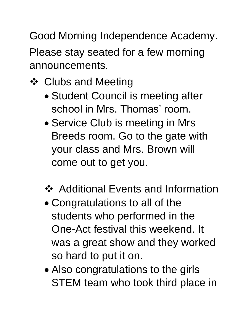Good Morning Independence Academy. Please stay seated for a few morning announcements.

- **❖ Clubs and Meeting** 
	- Student Council is meeting after school in Mrs. Thomas' room.
	- Service Club is meeting in Mrs Breeds room. Go to the gate with your class and Mrs. Brown will come out to get you.
	- ❖ Additional Events and Information
	- Congratulations to all of the students who performed in the One-Act festival this weekend. It was a great show and they worked so hard to put it on.
	- Also congratulations to the girls STEM team who took third place in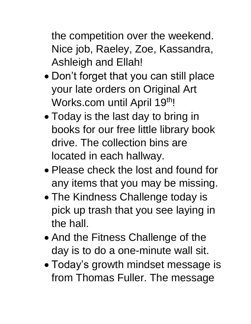the competition over the weekend. Nice job, Raeley, Zoe, Kassandra, Ashleigh and Ellah!

- Don't forget that you can still place your late orders on Original Art Works.com until April 19th!
- Today is the last day to bring in books for our free little library book drive. The collection bins are located in each hallway.
- Please check the lost and found for any items that you may be missing.
- The Kindness Challenge today is pick up trash that you see laying in the hall.
- And the Fitness Challenge of the day is to do a one-minute wall sit.
- Today's growth mindset message is from Thomas Fuller. The message